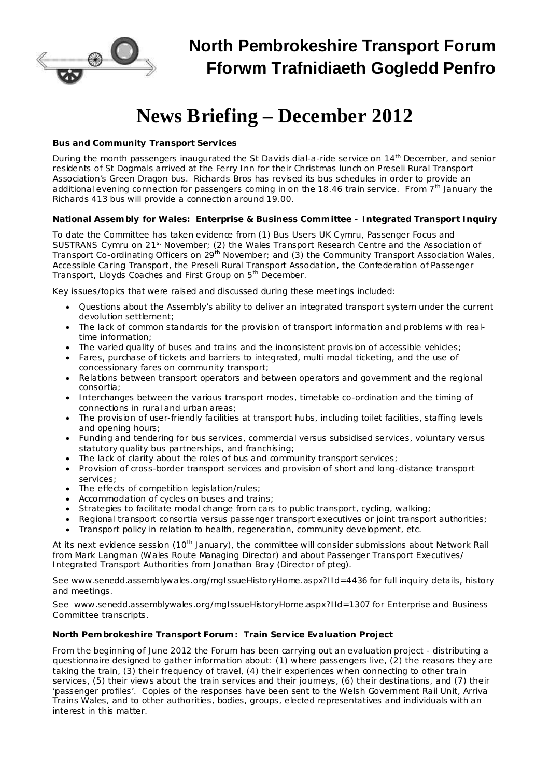

# **North Pembrokeshire Transport Forum Fforwm Trafnidiaeth Gogledd Penfro**

# **News Briefing – December 2012**

## *Bus and Community Transport Services*

During the month passengers inaugurated the St Davids dial-a-ride service on 14<sup>th</sup> December, and senior residents of St Dogmals arrived at the Ferry Inn for their Christmas lunch on Preseli Rural Transport Association's Green Dragon bus. Richards Bros has revised its bus schedules in order to provide an additional evening connection for passengers coming in on the 18.46 train service. From 7<sup>th</sup> January the Richards 413 bus will provide a connection around 19.00.

#### *National Assembly for Wales: Enterprise & Business Committee - Integrated Transport Inquiry*

To date the Committee has taken evidence from (1) Bus Users UK Cymru, Passenger Focus and SUSTRANS Cymru on 21<sup>st</sup> November; (2) the Wales Transport Research Centre and the Association of Transport Co-ordinating Officers on 29<sup>th</sup> November; and (3) the Community Transport Association Wales, Accessible Caring Transport, the Preseli Rural Transport Association, the Confederation of Passenger Transport, Lloyds Coaches and First Group on 5<sup>th</sup> December.

Key issues/topics that were raised and discussed during these meetings included:

- · Questions about the Assembly's ability to deliver an integrated transport system under the current devolution settlement;
- · The lack of common standards for the provision of transport information and problems with realtime information;
- The varied quality of buses and trains and the inconsistent provision of accessible vehicles;
- · Fares, purchase of tickets and barriers to integrated, multi modal ticketing, and the use of concessionary fares on community transport;
- · Relations between transport operators and between operators and government and the regional consortia;
- · Interchanges between the various transport modes, timetable co-ordination and the timing of connections in rural and urban areas;
- · The provision of user-friendly facilities at transport hubs, including toilet facilities, staffing levels and opening hours;
- · Funding and tendering for bus services, commercial versus subsidised services, voluntary versus statutory quality bus partnerships, and franchising;
- · The lack of clarity about the roles of bus and community transport services;
- · Provision of cross-border transport services and provision of short and long-distance transport services;
- · The effects of competition legislation/rules;
- · Accommodation of cycles on buses and trains;
- · Strategies to facilitate modal change from cars to public transport, cycling, walking;
- · Regional transport consortia versus passenger transport executives or joint transport authorities;
- · Transport policy in relation to health, regeneration, community development, etc.

At its next evidence session (10<sup>th</sup> January), the committee will consider submissions about Network Rail from Mark Langman (Wales Route Managing Director) and about Passenger Transport Executives/ Integrated Transport Authorities from Jonathan Bray (Director of *pteg*).

See [www.senedd.assemblywales.org/mgIssueHistoryHome.aspx?IId=4436](http://www.senedd.assemblywales.org/mgIssueHistoryHome.aspx?IId=4436) for full inquiry details, history and meetings.

See [www.senedd.assemblywales.org/mgIssueHistoryHome.aspx?IId=1307](http://www.senedd.assemblywales.org/mgIssueHistoryHome.aspx?IId=1307) for Enterprise and Business Committee transcripts.

# *North Pembrokeshire Transport Forum: Train Service Evaluation Project*

From the beginning of June 2012 the Forum has been carrying out an evaluation project - distributing a questionnaire designed to gather information about: (1) where passengers live, (2) the reasons they are taking the train, (3) their frequency of travel, (4) their experiences when connecting to other train services, (5) their views about the train services and their journeys, (6) their destinations, and (7) their 'passenger profiles'. Copies of the responses have been sent to the Welsh Government Rail Unit, Arriva Trains Wales, and to other authorities, bodies, groups, elected representatives and individuals with an interest in this matter.